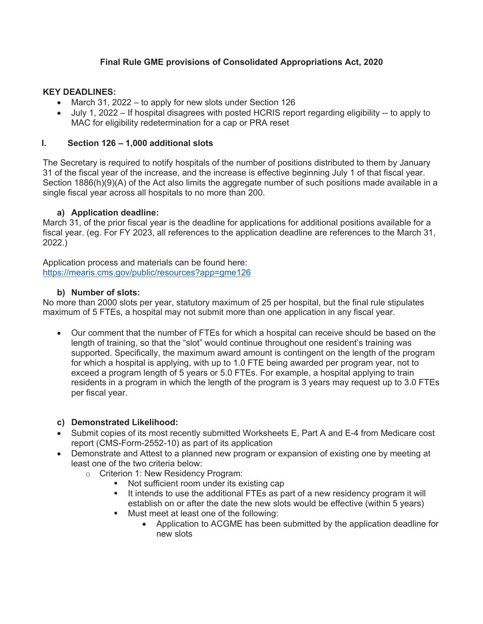## **Final Rule GME provisions of Consolidated Appropriations Act, 2020**

### **KEY DEADLINES:**

- March 31, 2022 to apply for new slots under Section 126
- July 1, 2022 If hospital disagrees with posted HCRIS report regarding eligibility -- to apply to MAC for eligibility redetermination for a cap or PRA reset

## **I. Section 126 – 1,000 additional slots**

The Secretary is required to notify hospitals of the number of positions distributed to them by January 31 of the fiscal year of the increase, and the increase is effective beginning July 1 of that fiscal year. Section 1886(h)(9)(A) of the Act also limits the aggregate number of such positions made available in a single fiscal year across all hospitals to no more than 200.

## **a) Application deadline:**

March 31, of the prior fiscal year is the deadline for applications for additional positions available for a fiscal year. (eg. For FY 2023, all references to the application deadline are references to the March 31, 2022.)

Application process and materials can be found here: https://mearis.cms.gov/public/resources?app=gme126

#### **b) Number of slots:**

No more than 2000 slots per year, statutory maximum of 25 per hospital, but the final rule stipulates maximum of 5 FTEs, a hospital may not submit more than one application in any fiscal year.

• Our comment that the number of FTEs for which a hospital can receive should be based on the length of training, so that the "slot" would continue throughout one resident's training was supported. Specifically, the maximum award amount is contingent on the length of the program for which a hospital is applying, with up to 1.0 FTE being awarded per program year, not to exceed a program length of 5 years or 5.0 FTEs. For example, a hospital applying to train residents in a program in which the length of the program is 3 years may request up to 3.0 FTEs per fiscal year.

## **c) Demonstrated Likelihood:**

- Submit copies of its most recently submitted Worksheets E, Part A and E-4 from Medicare cost report (CMS-Form-2552-10) as part of its application
- Demonstrate and Attest to a planned new program or expansion of existing one by meeting at least one of the two criteria below:
	- o Criterion 1: New Residency Program:
		- Not sufficient room under its existing cap
		- It intends to use the additional FTEs as part of a new residency program it will establish on or after the date the new slots would be effective (within 5 years)
		- Must meet at least one of the following:
			- Application to ACGME has been submitted by the application deadline for new slots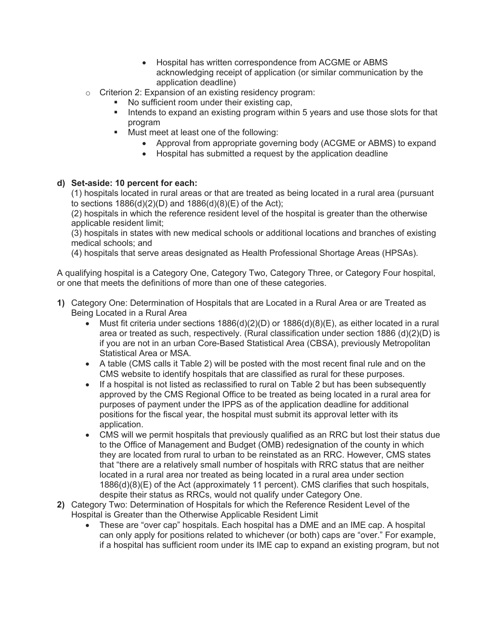- Hospital has written correspondence from ACGME or ABMS acknowledging receipt of application (or similar communication by the application deadline)
- o Criterion 2: Expansion of an existing residency program:
	- No sufficient room under their existing cap,
	- Intends to expand an existing program within 5 years and use those slots for that program
	- § Must meet at least one of the following:
		- Approval from appropriate governing body (ACGME or ABMS) to expand
		- Hospital has submitted a request by the application deadline

#### **d) Set-aside: 10 percent for each:**

(1) hospitals located in rural areas or that are treated as being located in a rural area (pursuant to sections  $1886(d)(2)(D)$  and  $1886(d)(8)(E)$  of the Act);

(2) hospitals in which the reference resident level of the hospital is greater than the otherwise applicable resident limit;

(3) hospitals in states with new medical schools or additional locations and branches of existing medical schools; and

(4) hospitals that serve areas designated as Health Professional Shortage Areas (HPSAs).

A qualifying hospital is a Category One, Category Two, Category Three, or Category Four hospital, or one that meets the definitions of more than one of these categories.

- **1)** Category One: Determination of Hospitals that are Located in a Rural Area or are Treated as Being Located in a Rural Area
	- Must fit criteria under sections  $1886(d)(2)(D)$  or  $1886(d)(8)(E)$ , as either located in a rural area or treated as such, respectively. (Rural classification under section 1886 (d)(2)(D) is if you are not in an urban Core-Based Statistical Area (CBSA), previously Metropolitan Statistical Area or MSA.
	- A table (CMS calls it Table 2) will be posted with the most recent final rule and on the CMS website to identify hospitals that are classified as rural for these purposes.
	- If a hospital is not listed as reclassified to rural on Table 2 but has been subsequently approved by the CMS Regional Office to be treated as being located in a rural area for purposes of payment under the IPPS as of the application deadline for additional positions for the fiscal year, the hospital must submit its approval letter with its application.
	- CMS will we permit hospitals that previously qualified as an RRC but lost their status due to the Office of Management and Budget (OMB) redesignation of the county in which they are located from rural to urban to be reinstated as an RRC. However, CMS states that "there are a relatively small number of hospitals with RRC status that are neither located in a rural area nor treated as being located in a rural area under section 1886(d)(8)(E) of the Act (approximately 11 percent). CMS clarifies that such hospitals, despite their status as RRCs, would not qualify under Category One.
- **2)** Category Two: Determination of Hospitals for which the Reference Resident Level of the Hospital is Greater than the Otherwise Applicable Resident Limit
	- These are "over cap" hospitals. Each hospital has a DME and an IME cap. A hospital can only apply for positions related to whichever (or both) caps are "over." For example, if a hospital has sufficient room under its IME cap to expand an existing program, but not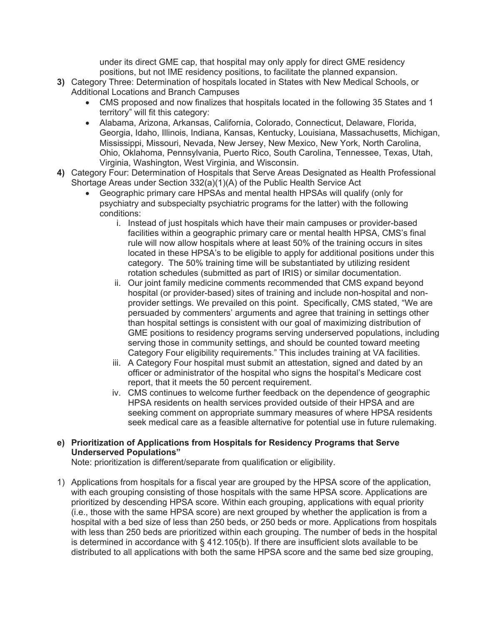under its direct GME cap, that hospital may only apply for direct GME residency positions, but not IME residency positions, to facilitate the planned expansion.

- **3)** Category Three: Determination of hospitals located in States with New Medical Schools, or Additional Locations and Branch Campuses
	- CMS proposed and now finalizes that hospitals located in the following 35 States and 1 territory" will fit this category:
	- Alabama, Arizona, Arkansas, California, Colorado, Connecticut, Delaware, Florida, Georgia, Idaho, Illinois, Indiana, Kansas, Kentucky, Louisiana, Massachusetts, Michigan, Mississippi, Missouri, Nevada, New Jersey, New Mexico, New York, North Carolina, Ohio, Oklahoma, Pennsylvania, Puerto Rico, South Carolina, Tennessee, Texas, Utah, Virginia, Washington, West Virginia, and Wisconsin.
- **4)** Category Four: Determination of Hospitals that Serve Areas Designated as Health Professional Shortage Areas under Section 332(a)(1)(A) of the Public Health Service Act
	- Geographic primary care HPSAs and mental health HPSAs will qualify (only for psychiatry and subspecialty psychiatric programs for the latter) with the following conditions:
		- i. Instead of just hospitals which have their main campuses or provider-based facilities within a geographic primary care or mental health HPSA, CMS's final rule will now allow hospitals where at least 50% of the training occurs in sites located in these HPSA's to be eligible to apply for additional positions under this category. The 50% training time will be substantiated by utilizing resident rotation schedules (submitted as part of IRIS) or similar documentation.
		- ii. Our joint family medicine comments recommended that CMS expand beyond hospital (or provider-based) sites of training and include non-hospital and nonprovider settings. We prevailed on this point. Specifically, CMS stated, "We are persuaded by commenters' arguments and agree that training in settings other than hospital settings is consistent with our goal of maximizing distribution of GME positions to residency programs serving underserved populations, including serving those in community settings, and should be counted toward meeting Category Four eligibility requirements." This includes training at VA facilities.
		- iii. A Category Four hospital must submit an attestation, signed and dated by an officer or administrator of the hospital who signs the hospital's Medicare cost report, that it meets the 50 percent requirement.
		- iv. CMS continues to welcome further feedback on the dependence of geographic HPSA residents on health services provided outside of their HPSA and are seeking comment on appropriate summary measures of where HPSA residents seek medical care as a feasible alternative for potential use in future rulemaking.

## **e) Prioritization of Applications from Hospitals for Residency Programs that Serve Underserved Populations"**

Note: prioritization is different/separate from qualification or eligibility.

1) Applications from hospitals for a fiscal year are grouped by the HPSA score of the application, with each grouping consisting of those hospitals with the same HPSA score. Applications are prioritized by descending HPSA score. Within each grouping, applications with equal priority (i.e., those with the same HPSA score) are next grouped by whether the application is from a hospital with a bed size of less than 250 beds, or 250 beds or more. Applications from hospitals with less than 250 beds are prioritized within each grouping. The number of beds in the hospital is determined in accordance with § 412.105(b). If there are insufficient slots available to be distributed to all applications with both the same HPSA score and the same bed size grouping,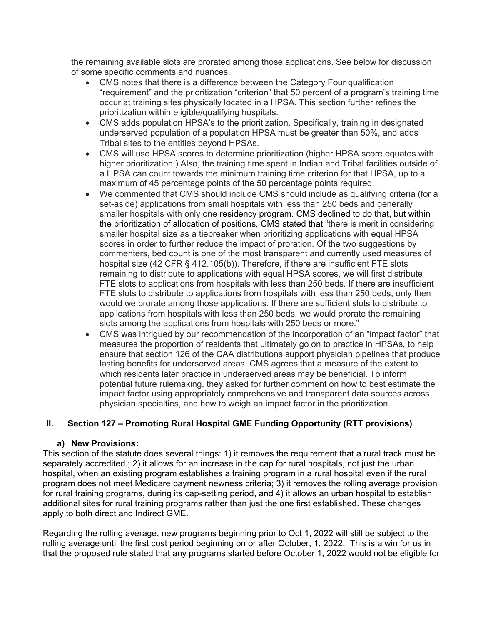the remaining available slots are prorated among those applications. See below for discussion of some specific comments and nuances.

- CMS notes that there is a difference between the Category Four qualification "requirement" and the prioritization "criterion" that 50 percent of a program's training time occur at training sites physically located in a HPSA. This section further refines the prioritization within eligible/qualifying hospitals.
- CMS adds population HPSA's to the prioritization. Specifically, training in designated underserved population of a population HPSA must be greater than 50%, and adds Tribal sites to the entities beyond HPSAs.
- CMS will use HPSA scores to determine prioritization (higher HPSA score equates with higher prioritization.) Also, the training time spent in Indian and Tribal facilities outside of a HPSA can count towards the minimum training time criterion for that HPSA, up to a maximum of 45 percentage points of the 50 percentage points required.
- We commented that CMS should include CMS should include as qualifying criteria (for a set-aside) applications from small hospitals with less than 250 beds and generally smaller hospitals with only one residency program. CMS declined to do that, but within the prioritization of allocation of positions, CMS stated that "there is merit in considering smaller hospital size as a tiebreaker when prioritizing applications with equal HPSA scores in order to further reduce the impact of proration. Of the two suggestions by commenters, bed count is one of the most transparent and currently used measures of hospital size (42 CFR § 412.105(b)). Therefore, if there are insufficient FTE slots remaining to distribute to applications with equal HPSA scores, we will first distribute FTE slots to applications from hospitals with less than 250 beds. If there are insufficient FTE slots to distribute to applications from hospitals with less than 250 beds, only then would we prorate among those applications. If there are sufficient slots to distribute to applications from hospitals with less than 250 beds, we would prorate the remaining slots among the applications from hospitals with 250 beds or more."
- CMS was intrigued by our recommendation of the incorporation of an "impact factor" that measures the proportion of residents that ultimately go on to practice in HPSAs, to help ensure that section 126 of the CAA distributions support physician pipelines that produce lasting benefits for underserved areas. CMS agrees that a measure of the extent to which residents later practice in underserved areas may be beneficial. To inform potential future rulemaking, they asked for further comment on how to best estimate the impact factor using appropriately comprehensive and transparent data sources across physician specialties, and how to weigh an impact factor in the prioritization.

## **II. Section 127 – Promoting Rural Hospital GME Funding Opportunity (RTT provisions)**

#### **a) New Provisions:**

This section of the statute does several things: 1) it removes the requirement that a rural track must be separately accredited.; 2) it allows for an increase in the cap for rural hospitals, not just the urban hospital, when an existing program establishes a training program in a rural hospital even if the rural program does not meet Medicare payment newness criteria; 3) it removes the rolling average provision for rural training programs, during its cap-setting period, and 4) it allows an urban hospital to establish additional sites for rural training programs rather than just the one first established. These changes apply to both direct and Indirect GME.

Regarding the rolling average, new programs beginning prior to Oct 1, 2022 will still be subject to the rolling average until the first cost period beginning on or after October, 1, 2022. This is a win for us in that the proposed rule stated that any programs started before October 1, 2022 would not be eligible for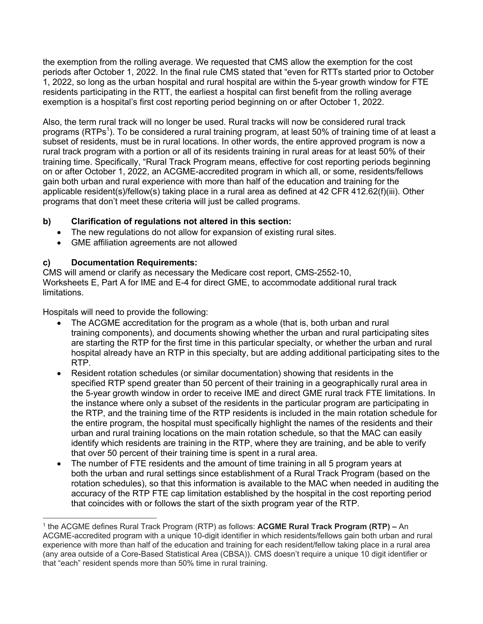the exemption from the rolling average. We requested that CMS allow the exemption for the cost periods after October 1, 2022. In the final rule CMS stated that "even for RTTs started prior to October 1, 2022, so long as the urban hospital and rural hospital are within the 5-year growth window for FTE residents participating in the RTT, the earliest a hospital can first benefit from the rolling average exemption is a hospital's first cost reporting period beginning on or after October 1, 2022.

Also, the term rural track will no longer be used. Rural tracks will now be considered rural track programs (RTPs<sup>1</sup>). To be considered a rural training program, at least 50% of training time of at least a subset of residents, must be in rural locations. In other words, the entire approved program is now a rural track program with a portion or all of its residents training in rural areas for at least 50% of their training time. Specifically, "Rural Track Program means, effective for cost reporting periods beginning on or after October 1, 2022, an ACGME-accredited program in which all, or some, residents/fellows gain both urban and rural experience with more than half of the education and training for the applicable resident(s)/fellow(s) taking place in a rural area as defined at 42 CFR 412.62(f)(iii). Other programs that don't meet these criteria will just be called programs.

## **b) Clarification of regulations not altered in this section:**

- The new regulations do not allow for expansion of existing rural sites.
- GME affiliation agreements are not allowed

## **c) Documentation Requirements:**

CMS will amend or clarify as necessary the Medicare cost report, CMS-2552-10, Worksheets E, Part A for IME and E-4 for direct GME, to accommodate additional rural track limitations.

Hospitals will need to provide the following:

- The ACGME accreditation for the program as a whole (that is, both urban and rural training components), and documents showing whether the urban and rural participating sites are starting the RTP for the first time in this particular specialty, or whether the urban and rural hospital already have an RTP in this specialty, but are adding additional participating sites to the RTP.
- Resident rotation schedules (or similar documentation) showing that residents in the specified RTP spend greater than 50 percent of their training in a geographically rural area in the 5-year growth window in order to receive IME and direct GME rural track FTE limitations. In the instance where only a subset of the residents in the particular program are participating in the RTP, and the training time of the RTP residents is included in the main rotation schedule for the entire program, the hospital must specifically highlight the names of the residents and their urban and rural training locations on the main rotation schedule, so that the MAC can easily identify which residents are training in the RTP, where they are training, and be able to verify that over 50 percent of their training time is spent in a rural area.
- The number of FTE residents and the amount of time training in all 5 program years at both the urban and rural settings since establishment of a Rural Track Program (based on the rotation schedules), so that this information is available to the MAC when needed in auditing the accuracy of the RTP FTE cap limitation established by the hospital in the cost reporting period that coincides with or follows the start of the sixth program year of the RTP.

<sup>1</sup> the ACGME defines Rural Track Program (RTP) as follows: **ACGME Rural Track Program (RTP) –** An ACGME-accredited program with a unique 10-digit identifier in which residents/fellows gain both urban and rural experience with more than half of the education and training for each resident/fellow taking place in a rural area (any area outside of a Core-Based Statistical Area (CBSA)). CMS doesn't require a unique 10 digit identifier or that "each" resident spends more than 50% time in rural training.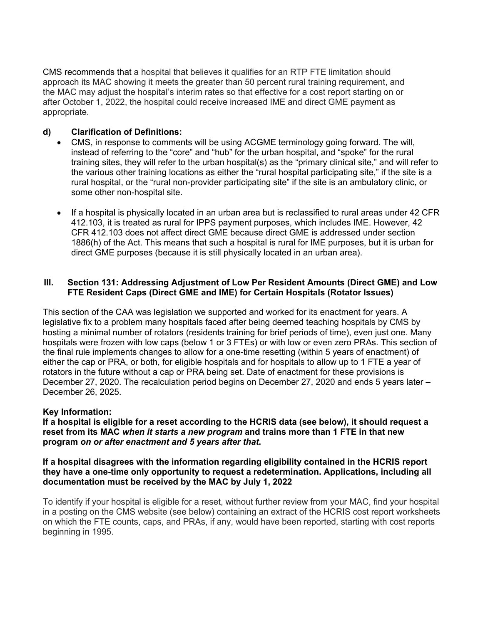CMS recommends that a hospital that believes it qualifies for an RTP FTE limitation should approach its MAC showing it meets the greater than 50 percent rural training requirement, and the MAC may adjust the hospital's interim rates so that effective for a cost report starting on or after October 1, 2022, the hospital could receive increased IME and direct GME payment as appropriate.

#### **d) Clarification of Definitions:**

- CMS, in response to comments will be using ACGME terminology going forward. The will, instead of referring to the "core" and "hub" for the urban hospital, and "spoke" for the rural training sites, they will refer to the urban hospital(s) as the "primary clinical site," and will refer to the various other training locations as either the "rural hospital participating site," if the site is a rural hospital, or the "rural non-provider participating site" if the site is an ambulatory clinic, or some other non-hospital site.
- If a hospital is physically located in an urban area but is reclassified to rural areas under 42 CFR 412.103, it is treated as rural for IPPS payment purposes, which includes IME. However, 42 CFR 412.103 does not affect direct GME because direct GME is addressed under section 1886(h) of the Act. This means that such a hospital is rural for IME purposes, but it is urban for direct GME purposes (because it is still physically located in an urban area).

#### **III. Section 131: Addressing Adjustment of Low Per Resident Amounts (Direct GME) and Low FTE Resident Caps (Direct GME and IME) for Certain Hospitals (Rotator Issues)**

This section of the CAA was legislation we supported and worked for its enactment for years. A legislative fix to a problem many hospitals faced after being deemed teaching hospitals by CMS by hosting a minimal number of rotators (residents training for brief periods of time), even just one. Many hospitals were frozen with low caps (below 1 or 3 FTEs) or with low or even zero PRAs. This section of the final rule implements changes to allow for a one-time resetting (within 5 years of enactment) of either the cap or PRA, or both, for eligible hospitals and for hospitals to allow up to 1 FTE a year of rotators in the future without a cap or PRA being set. Date of enactment for these provisions is December 27, 2020. The recalculation period begins on December 27, 2020 and ends 5 years later – December 26, 2025.

#### **Key Information:**

**If a hospital is eligible for a reset according to the HCRIS data (see below), it should request a reset from its MAC** *when it starts a new program* **and trains more than 1 FTE in that new program** *on or after enactment and 5 years after that***.**

#### **If a hospital disagrees with the information regarding eligibility contained in the HCRIS report they have a one-time only opportunity to request a redetermination. Applications, including all documentation must be received by the MAC by July 1, 2022**

To identify if your hospital is eligible for a reset, without further review from your MAC, find your hospital in a posting on the CMS website (see below) containing an extract of the HCRIS cost report worksheets on which the FTE counts, caps, and PRAs, if any, would have been reported, starting with cost reports beginning in 1995.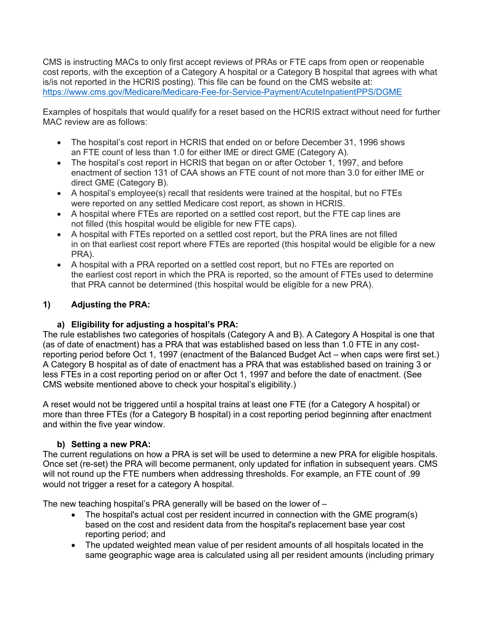CMS is instructing MACs to only first accept reviews of PRAs or FTE caps from open or reopenable cost reports, with the exception of a Category A hospital or a Category B hospital that agrees with what is/is not reported in the HCRIS posting). This file can be found on the CMS website at: https://www.cms.gov/Medicare/Medicare-Fee-for-Service-Payment/AcuteInpatientPPS/DGME

Examples of hospitals that would qualify for a reset based on the HCRIS extract without need for further MAC review are as follows:

- The hospital's cost report in HCRIS that ended on or before December 31, 1996 shows an FTE count of less than 1.0 for either IME or direct GME (Category A).
- The hospital's cost report in HCRIS that began on or after October 1, 1997, and before enactment of section 131 of CAA shows an FTE count of not more than 3.0 for either IME or direct GME (Category B).
- A hospital's employee(s) recall that residents were trained at the hospital, but no FTEs were reported on any settled Medicare cost report, as shown in HCRIS.
- A hospital where FTEs are reported on a settled cost report, but the FTE cap lines are not filled (this hospital would be eligible for new FTE caps).
- A hospital with FTEs reported on a settled cost report, but the PRA lines are not filled in on that earliest cost report where FTEs are reported (this hospital would be eligible for a new PRA).
- A hospital with a PRA reported on a settled cost report, but no FTEs are reported on the earliest cost report in which the PRA is reported, so the amount of FTEs used to determine that PRA cannot be determined (this hospital would be eligible for a new PRA).

# **1) Adjusting the PRA:**

## **a) Eligibility for adjusting a hospital's PRA:**

The rule establishes two categories of hospitals (Category A and B). A Category A Hospital is one that (as of date of enactment) has a PRA that was established based on less than 1.0 FTE in any costreporting period before Oct 1, 1997 (enactment of the Balanced Budget Act – when caps were first set.) A Category B hospital as of date of enactment has a PRA that was established based on training 3 or less FTEs in a cost reporting period on or after Oct 1, 1997 and before the date of enactment. (See CMS website mentioned above to check your hospital's eligibility.)

A reset would not be triggered until a hospital trains at least one FTE (for a Category A hospital) or more than three FTEs (for a Category B hospital) in a cost reporting period beginning after enactment and within the five year window.

## **b) Setting a new PRA:**

The current regulations on how a PRA is set will be used to determine a new PRA for eligible hospitals. Once set (re-set) the PRA will become permanent, only updated for inflation in subsequent years. CMS will not round up the FTE numbers when addressing thresholds. For example, an FTE count of .99 would not trigger a reset for a category A hospital.

The new teaching hospital's PRA generally will be based on the lower of –

- The hospital's actual cost per resident incurred in connection with the GME program(s) based on the cost and resident data from the hospital's replacement base year cost reporting period; and
- The updated weighted mean value of per resident amounts of all hospitals located in the same geographic wage area is calculated using all per resident amounts (including primary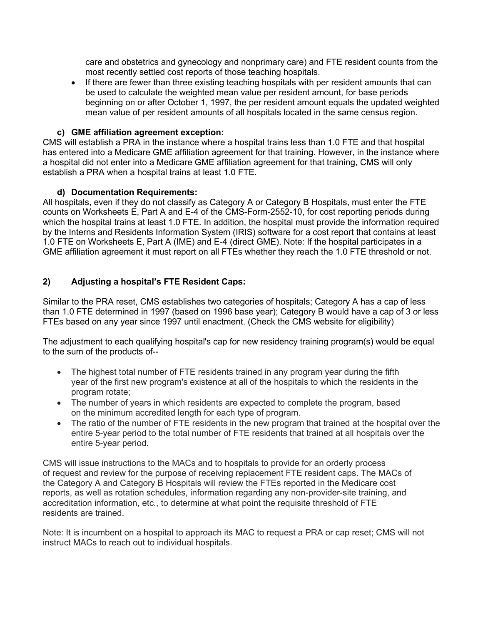care and obstetrics and gynecology and nonprimary care) and FTE resident counts from the most recently settled cost reports of those teaching hospitals.

• If there are fewer than three existing teaching hospitals with per resident amounts that can be used to calculate the weighted mean value per resident amount, for base periods beginning on or after October 1, 1997, the per resident amount equals the updated weighted mean value of per resident amounts of all hospitals located in the same census region.

## **c) GME affiliation agreement exception:**

CMS will establish a PRA in the instance where a hospital trains less than 1.0 FTE and that hospital has entered into a Medicare GME affiliation agreement for that training. However, in the instance where a hospital did not enter into a Medicare GME affiliation agreement for that training, CMS will only establish a PRA when a hospital trains at least 1.0 FTE.

## **d) Documentation Requirements:**

All hospitals, even if they do not classify as Category A or Category B Hospitals, must enter the FTE counts on Worksheets E, Part A and E-4 of the CMS-Form-2552-10, for cost reporting periods during which the hospital trains at least 1.0 FTE. In addition, the hospital must provide the information required by the Interns and Residents Information System (IRIS) software for a cost report that contains at least 1.0 FTE on Worksheets E, Part A (IME) and E-4 (direct GME). Note: If the hospital participates in a GME affiliation agreement it must report on all FTEs whether they reach the 1.0 FTE threshold or not.

## **2) Adjusting a hospital's FTE Resident Caps:**

Similar to the PRA reset, CMS establishes two categories of hospitals; Category A has a cap of less than 1.0 FTE determined in 1997 (based on 1996 base year); Category B would have a cap of 3 or less FTEs based on any year since 1997 until enactment. (Check the CMS website for eligibility)

The adjustment to each qualifying hospital's cap for new residency training program(s) would be equal to the sum of the products of--

- The highest total number of FTE residents trained in any program year during the fifth year of the first new program's existence at all of the hospitals to which the residents in the program rotate;
- The number of years in which residents are expected to complete the program, based on the minimum accredited length for each type of program.
- The ratio of the number of FTE residents in the new program that trained at the hospital over the entire 5-year period to the total number of FTE residents that trained at all hospitals over the entire 5-year period.

CMS will issue instructions to the MACs and to hospitals to provide for an orderly process of request and review for the purpose of receiving replacement FTE resident caps. The MACs of the Category A and Category B Hospitals will review the FTEs reported in the Medicare cost reports, as well as rotation schedules, information regarding any non-provider-site training, and accreditation information, etc., to determine at what point the requisite threshold of FTE residents are trained.

Note: It is incumbent on a hospital to approach its MAC to request a PRA or cap reset; CMS will not instruct MACs to reach out to individual hospitals.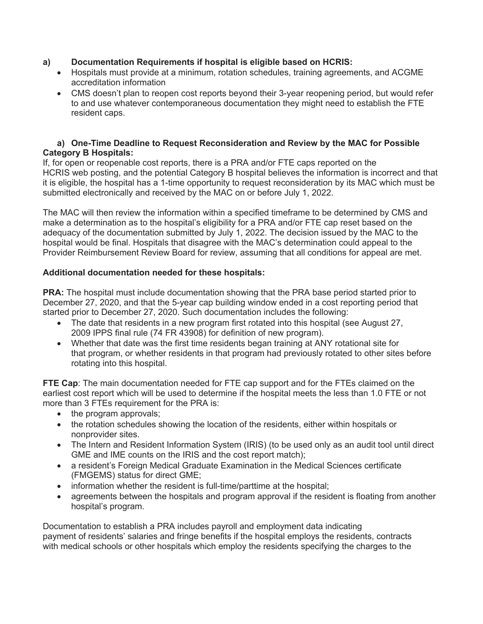## **a) Documentation Requirements if hospital is eligible based on HCRIS:**

- Hospitals must provide at a minimum, rotation schedules, training agreements, and ACGME accreditation information
- CMS doesn't plan to reopen cost reports beyond their 3-year reopening period, but would refer to and use whatever contemporaneous documentation they might need to establish the FTE resident caps.

#### **a) One-Time Deadline to Request Reconsideration and Review by the MAC for Possible Category B Hospitals:**

If, for open or reopenable cost reports, there is a PRA and/or FTE caps reported on the HCRIS web posting, and the potential Category B hospital believes the information is incorrect and that it is eligible, the hospital has a 1-time opportunity to request reconsideration by its MAC which must be submitted electronically and received by the MAC on or before July 1, 2022.

The MAC will then review the information within a specified timeframe to be determined by CMS and make a determination as to the hospital's eligibility for a PRA and/or FTE cap reset based on the adequacy of the documentation submitted by July 1, 2022. The decision issued by the MAC to the hospital would be final. Hospitals that disagree with the MAC's determination could appeal to the Provider Reimbursement Review Board for review, assuming that all conditions for appeal are met.

## **Additional documentation needed for these hospitals:**

**PRA:** The hospital must include documentation showing that the PRA base period started prior to December 27, 2020, and that the 5-year cap building window ended in a cost reporting period that started prior to December 27, 2020. Such documentation includes the following:

- The date that residents in a new program first rotated into this hospital (see August 27, 2009 IPPS final rule (74 FR 43908) for definition of new program).
- Whether that date was the first time residents began training at ANY rotational site for that program, or whether residents in that program had previously rotated to other sites before rotating into this hospital.

**FTE Cap**: The main documentation needed for FTE cap support and for the FTEs claimed on the earliest cost report which will be used to determine if the hospital meets the less than 1.0 FTE or not more than 3 FTEs requirement for the PRA is:

- the program approvals;
- the rotation schedules showing the location of the residents, either within hospitals or nonprovider sites.
- The Intern and Resident Information System (IRIS) (to be used only as an audit tool until direct GME and IME counts on the IRIS and the cost report match);
- a resident's Foreign Medical Graduate Examination in the Medical Sciences certificate (FMGEMS) status for direct GME;
- information whether the resident is full-time/parttime at the hospital;
- agreements between the hospitals and program approval if the resident is floating from another hospital's program.

Documentation to establish a PRA includes payroll and employment data indicating payment of residents' salaries and fringe benefits if the hospital employs the residents, contracts with medical schools or other hospitals which employ the residents specifying the charges to the